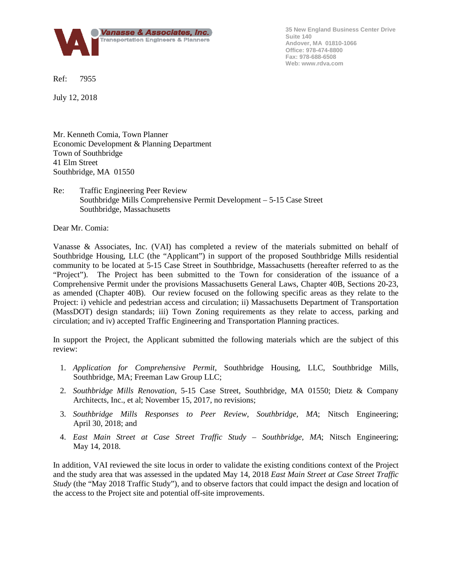

**35 New England Business Center Drive Suite 140 Andover, MA 01810-1066 Office: 978-474-8800 Fax: 978-688-6508 Web: www.rdva.com**

Ref: 7955

July 12, 2018

Mr. Kenneth Comia, Town Planner Economic Development & Planning Department Town of Southbridge 41 Elm Street Southbridge, MA 01550

## Re: Traffic Engineering Peer Review Southbridge Mills Comprehensive Permit Development – 5-15 Case Street Southbridge, Massachusetts

Dear Mr. Comia:

Vanasse & Associates, Inc. (VAI) has completed a review of the materials submitted on behalf of Southbridge Housing, LLC (the "Applicant") in support of the proposed Southbridge Mills residential community to be located at 5-15 Case Street in Southbridge, Massachusetts (hereafter referred to as the "Project"). The Project has been submitted to the Town for consideration of the issuance of a Comprehensive Permit under the provisions Massachusetts General Laws, Chapter 40B, Sections 20-23, as amended (Chapter 40B). Our review focused on the following specific areas as they relate to the Project: i) vehicle and pedestrian access and circulation; ii) Massachusetts Department of Transportation (MassDOT) design standards; iii) Town Zoning requirements as they relate to access, parking and circulation; and iv) accepted Traffic Engineering and Transportation Planning practices.

In support the Project, the Applicant submitted the following materials which are the subject of this review:

- 1. *Application for Comprehensive Permit*, Southbridge Housing, LLC, Southbridge Mills, Southbridge, MA; Freeman Law Group LLC;
- 2. *Southbridge Mills Renovation*, 5-15 Case Street, Southbridge, MA 01550; Dietz & Company Architects, Inc., et al; November 15, 2017, no revisions;
- 3. *Southbridge Mills Responses to Peer Review, Southbridge, MA*; Nitsch Engineering; April 30, 2018; and
- 4. *East Main Street at Case Street Traffic Study – Southbridge, MA*; Nitsch Engineering; May 14, 2018.

In addition, VAI reviewed the site locus in order to validate the existing conditions context of the Project and the study area that was assessed in the updated May 14, 2018 *East Main Street at Case Street Traffic Study* (the "May 2018 Traffic Study"), and to observe factors that could impact the design and location of the access to the Project site and potential off-site improvements.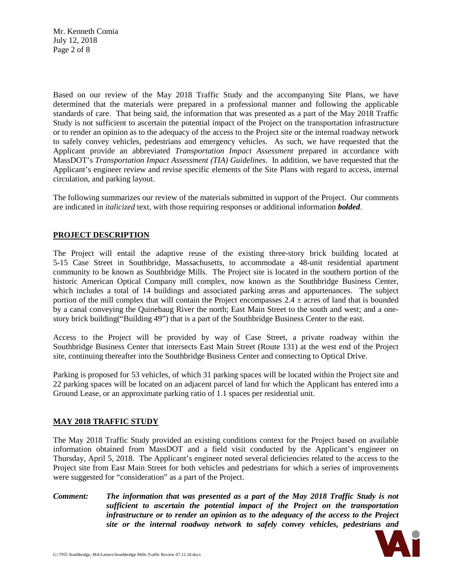Mr. Kenneth Comia July 12, 2018 Page 2 of 8

Based on our review of the May 2018 Traffic Study and the accompanying Site Plans, we have determined that the materials were prepared in a professional manner and following the applicable standards of care. That being said, the information that was presented as a part of the May 2018 Traffic Study is not sufficient to ascertain the potential impact of the Project on the transportation infrastructure or to render an opinion as to the adequacy of the access to the Project site or the internal roadway network to safely convey vehicles, pedestrians and emergency vehicles. As such, we have requested that the Applicant provide an abbreviated *Transportation Impact Assessment* prepared in accordance with MassDOT's *Transportation Impact Assessment (TIA) Guidelines*. In addition, we have requested that the Applicant's engineer review and revise specific elements of the Site Plans with regard to access, internal circulation, and parking layout.

The following summarizes our review of the materials submitted in support of the Project. Our comments are indicated in *italicized* text, with those requiring responses or additional information *bolded*.

# **PROJECT DESCRIPTION**

The Project will entail the adaptive reuse of the existing three-story brick building located at 5-15 Case Street in Southbridge, Massachusetts, to accommodate a 48-unit residential apartment community to be known as Southbridge Mills. The Project site is located in the southern portion of the historic American Optical Company mill complex, now known as the Southbridge Business Center, which includes a total of 14 buildings and associated parking areas and appurtenances. The subject portion of the mill complex that will contain the Project encompasses  $2.4 \pm \text{acres}$  of land that is bounded by a canal conveying the Quinebaug River the north; East Main Street to the south and west; and a onestory brick building("Building 49") that is a part of the Southbridge Business Center to the east.

Access to the Project will be provided by way of Case Street, a private roadway within the Southbridge Business Center that intersects East Main Street (Route 131) at the west end of the Project site, continuing thereafter into the Southbridge Business Center and connecting to Optical Drive.

Parking is proposed for 53 vehicles, of which 31 parking spaces will be located within the Project site and 22 parking spaces will be located on an adjacent parcel of land for which the Applicant has entered into a Ground Lease, or an approximate parking ratio of 1.1 spaces per residential unit.

## **MAY 2018 TRAFFIC STUDY**

The May 2018 Traffic Study provided an existing conditions context for the Project based on available information obtained from MassDOT and a field visit conducted by the Applicant's engineer on Thursday, April 5, 2018. The Applicant's engineer noted several deficiencies related to the access to the Project site from East Main Street for both vehicles and pedestrians for which a series of improvements were suggested for "consideration" as a part of the Project.

*Comment: The information that was presented as a part of the May 2018 Traffic Study is not sufficient to ascertain the potential impact of the Project on the transportation infrastructure or to render an opinion as to the adequacy of the access to the Project site or the internal roadway network to safely convey vehicles, pedestrians and* 

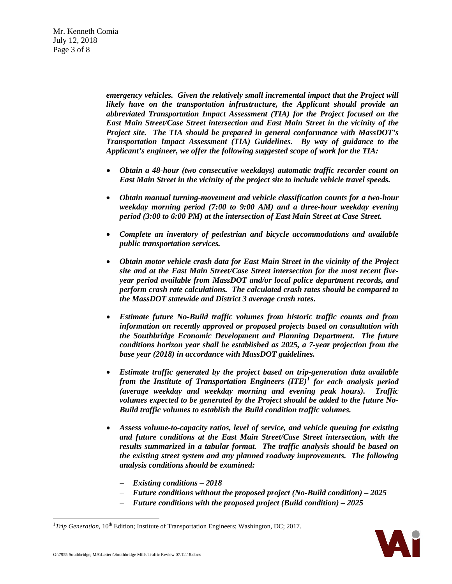*emergency vehicles. Given the relatively small incremental impact that the Project will likely have on the transportation infrastructure, the Applicant should provide an abbreviated Transportation Impact Assessment (TIA) for the Project focused on the East Main Street/Case Street intersection and East Main Street in the vicinity of the Project site. The TIA should be prepared in general conformance with MassDOT's Transportation Impact Assessment (TIA) Guidelines. By way of guidance to the Applicant's engineer, we offer the following suggested scope of work for the TIA:*

- *Obtain a 48-hour (two consecutive weekdays) automatic traffic recorder count on East Main Street in the vicinity of the project site to include vehicle travel speeds.*
- *Obtain manual turning-movement and vehicle classification counts for a two-hour weekday morning period (7:00 to 9:00 AM) and a three-hour weekday evening period (3:00 to 6:00 PM) at the intersection of East Main Street at Case Street.*
- *Complete an inventory of pedestrian and bicycle accommodations and available public transportation services.*
- *Obtain motor vehicle crash data for East Main Street in the vicinity of the Project site and at the East Main Street/Case Street intersection for the most recent fiveyear period available from MassDOT and/or local police department records, and perform crash rate calculations. The calculated crash rates should be compared to the MassDOT statewide and District 3 average crash rates.*
- *Estimate future No-Build traffic volumes from historic traffic counts and from information on recently approved or proposed projects based on consultation with the Southbridge Economic Development and Planning Department. The future conditions horizon year shall be established as 2025, a 7-year projection from the base year (2018) in accordance with MassDOT guidelines.*
- *Estimate traffic generated by the project based on trip-generation data available from the Institute of Transportation Engineers (ITE)[1](#page-2-0) for each analysis period (average weekday and weekday morning and evening peak hours). Traffic volumes expected to be generated by the Project should be added to the future No-Build traffic volumes to establish the Build condition traffic volumes.*
- *Assess volume-to-capacity ratios, level of service, and vehicle queuing for existing and future conditions at the East Main Street/Case Street intersection, with the results summarized in a tabular format. The traffic analysis should be based on the existing street system and any planned roadway improvements. The following analysis conditions should be examined:*
	- − *Existing conditions – 2018*
	- − *Future conditions without the proposed project (No-Build condition) – 2025*
	- − *Future conditions with the proposed project (Build condition) – 2025*



<span id="page-2-0"></span> $\frac{1}{1}$ <sup>1</sup>Trip Generation, 10<sup>th</sup> Edition; Institute of Transportation Engineers; Washington, DC; 2017.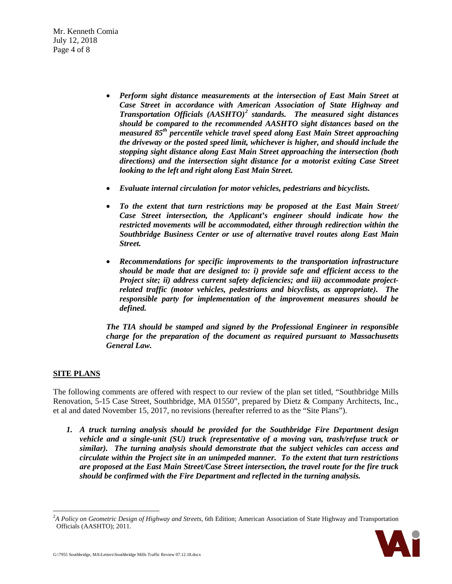Mr. Kenneth Comia July 12, 2018 Page 4 of 8

- *Perform sight distance measurements at the intersection of East Main Street at Case Street in accordance with American Association of State Highway and Transportation Officials (AASHTO)[2](#page-3-0) standards. The measured sight distances should be compared to the recommended AASHTO sight distances based on the measured 85th percentile vehicle travel speed along East Main Street approaching the driveway or the posted speed limit, whichever is higher, and should include the stopping sight distance along East Main Street approaching the intersection (both directions) and the intersection sight distance for a motorist exiting Case Street looking to the left and right along East Main Street.*
- *Evaluate internal circulation for motor vehicles, pedestrians and bicyclists.*
- *To the extent that turn restrictions may be proposed at the East Main Street/ Case Street intersection, the Applicant's engineer should indicate how the restricted movements will be accommodated, either through redirection within the Southbridge Business Center or use of alternative travel routes along East Main Street.*
- *Recommendations for specific improvements to the transportation infrastructure should be made that are designed to: i) provide safe and efficient access to the Project site; ii) address current safety deficiencies; and iii) accommodate projectrelated traffic (motor vehicles, pedestrians and bicyclists, as appropriate). The responsible party for implementation of the improvement measures should be defined.*

*The TIA should be stamped and signed by the Professional Engineer in responsible charge for the preparation of the document as required pursuant to Massachusetts General Law.*

# **SITE PLANS**

The following comments are offered with respect to our review of the plan set titled, "Southbridge Mills Renovation, 5-15 Case Street, Southbridge, MA 01550", prepared by Dietz & Company Architects, Inc., et al and dated November 15, 2017, no revisions (hereafter referred to as the "Site Plans").

*1. A truck turning analysis should be provided for the Southbridge Fire Department design vehicle and a single-unit (SU) truck (representative of a moving van, trash/refuse truck or similar). The turning analysis should demonstrate that the subject vehicles can access and circulate within the Project site in an unimpeded manner. To the extent that turn restrictions are proposed at the East Main Street/Case Street intersection, the travel route for the fire truck should be confirmed with the Fire Department and reflected in the turning analysis.*

<span id="page-3-0"></span> $\frac{1}{2}$ *A Policy on Geometric Design of Highway and Streets,* 6th Edition; American Association of State Highway and Transportation Officials (AASHTO); 2011.

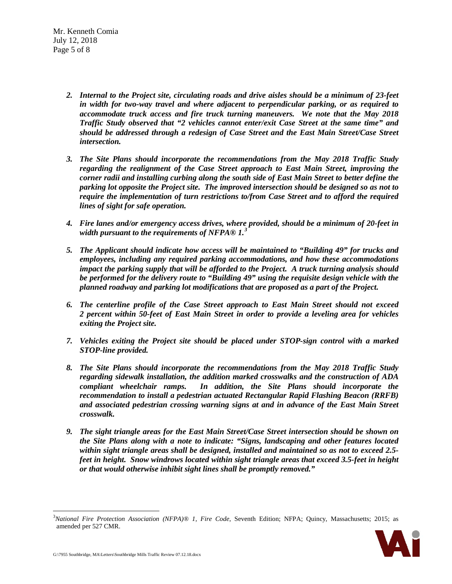Mr. Kenneth Comia July 12, 2018 Page 5 of 8

- *2. Internal to the Project site, circulating roads and drive aisles should be a minimum of 23-feet in width for two-way travel and where adjacent to perpendicular parking, or as required to accommodate truck access and fire truck turning maneuvers. We note that the May 2018 Traffic Study observed that "2 vehicles cannot enter/exit Case Street at the same time" and should be addressed through a redesign of Case Street and the East Main Street/Case Street intersection.*
- *3. The Site Plans should incorporate the recommendations from the May 2018 Traffic Study regarding the realignment of the Case Street approach to East Main Street, improving the corner radii and installing curbing along the south side of East Main Street to better define the parking lot opposite the Project site. The improved intersection should be designed so as not to require the implementation of turn restrictions to/from Case Street and to afford the required lines of sight for safe operation.*
- *4. Fire lanes and/or emergency access drives, where provided, should be a minimum of 20-feet in width pursuant to the requirements of NFPA® 1. [3](#page-4-0)*
- *5. The Applicant should indicate how access will be maintained to "Building 49" for trucks and employees, including any required parking accommodations, and how these accommodations impact the parking supply that will be afforded to the Project. A truck turning analysis should be performed for the delivery route to "Building 49" using the requisite design vehicle with the planned roadway and parking lot modifications that are proposed as a part of the Project.*
- *6. The centerline profile of the Case Street approach to East Main Street should not exceed 2 percent within 50-feet of East Main Street in order to provide a leveling area for vehicles exiting the Project site.*
- *7. Vehicles exiting the Project site should be placed under STOP-sign control with a marked STOP-line provided.*
- *8. The Site Plans should incorporate the recommendations from the May 2018 Traffic Study regarding sidewalk installation, the addition marked crosswalks and the construction of ADA compliant wheelchair ramps. In addition, the Site Plans should incorporate the recommendation to install a pedestrian actuated Rectangular Rapid Flashing Beacon (RRFB) and associated pedestrian crossing warning signs at and in advance of the East Main Street crosswalk.*
- *9. The sight triangle areas for the East Main Street/Case Street intersection should be shown on the Site Plans along with a note to indicate: "Signs, landscaping and other features located within sight triangle areas shall be designed, installed and maintained so as not to exceed 2.5 feet in height. Snow windrows located within sight triangle areas that exceed 3.5-feet in height or that would otherwise inhibit sight lines shall be promptly removed."*

<span id="page-4-0"></span> <sup>3</sup> *National Fire Protection Association (NFPA)® 1, Fire Code*, Seventh Edition; NFPA; Quincy, Massachusetts; 2015; as amended per 527 CMR.

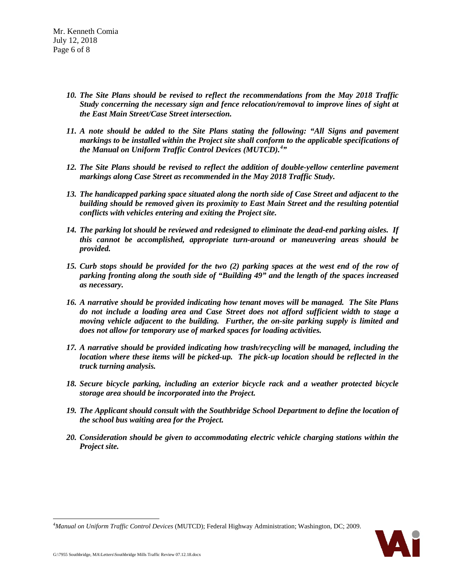- *10. The Site Plans should be revised to reflect the recommendations from the May 2018 Traffic Study concerning the necessary sign and fence relocation/removal to improve lines of sight at the East Main Street/Case Street intersection.*
- *11. A note should be added to the Site Plans stating the following: "All Signs and pavement markings to be installed within the Project site shall conform to the applicable specifications of the Manual on Uniform Traffic Control Devices (MUTCD). [4](#page-5-0) "*
- *12. The Site Plans should be revised to reflect the addition of double-yellow centerline pavement markings along Case Street as recommended in the May 2018 Traffic Study.*
- *13. The handicapped parking space situated along the north side of Case Street and adjacent to the building should be removed given its proximity to East Main Street and the resulting potential conflicts with vehicles entering and exiting the Project site.*
- *14. The parking lot should be reviewed and redesigned to eliminate the dead-end parking aisles. If this cannot be accomplished, appropriate turn-around or maneuvering areas should be provided.*
- *15. Curb stops should be provided for the two (2) parking spaces at the west end of the row of parking fronting along the south side of "Building 49" and the length of the spaces increased as necessary.*
- *16. A narrative should be provided indicating how tenant moves will be managed. The Site Plans do not include a loading area and Case Street does not afford sufficient width to stage a moving vehicle adjacent to the building. Further, the on-site parking supply is limited and does not allow for temporary use of marked spaces for loading activities.*
- *17. A narrative should be provided indicating how trash/recycling will be managed, including the location where these items will be picked-up. The pick-up location should be reflected in the truck turning analysis.*
- *18. Secure bicycle parking, including an exterior bicycle rack and a weather protected bicycle storage area should be incorporated into the Project.*
- *19. The Applicant should consult with the Southbridge School Department to define the location of the school bus waiting area for the Project.*
- *20. Consideration should be given to accommodating electric vehicle charging stations within the Project site.*

<span id="page-5-0"></span>

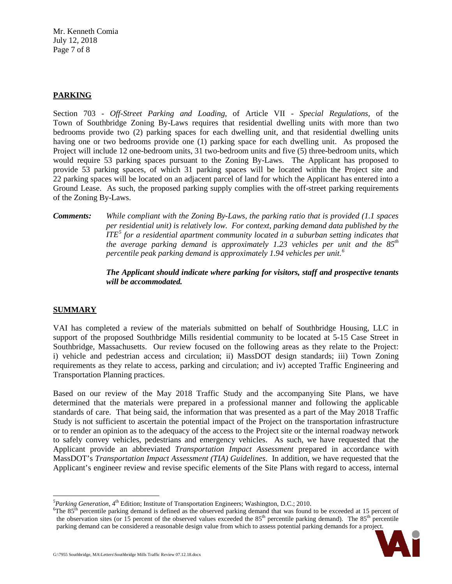Mr. Kenneth Comia July 12, 2018 Page 7 of 8

# **PARKING**

Section 703 - *Off-Street Parking and Loading*, of Article VII - *Special Regulations,* of the Town of Southbridge Zoning By-Laws requires that residential dwelling units with more than two bedrooms provide two (2) parking spaces for each dwelling unit, and that residential dwelling units having one or two bedrooms provide one (1) parking space for each dwelling unit. As proposed the Project will include 12 one-bedroom units, 31 two-bedroom units and five (5) three-bedroom units, which would require 53 parking spaces pursuant to the Zoning By-Laws. The Applicant has proposed to provide 53 parking spaces, of which 31 parking spaces will be located within the Project site and 22 parking spaces will be located on an adjacent parcel of land for which the Applicant has entered into a Ground Lease. As such, the proposed parking supply complies with the off-street parking requirements of the Zoning By-Laws.

*Comments: While compliant with the Zoning By-Laws, the parking ratio that is provided (1.1 spaces per residential unit) is relatively low. For context, parking demand data published by the ITE[5](#page-6-0) for a residential apartment community located in a suburban setting indicates that the average parking demand is approximately 1.23 vehicles per unit and the 85th percentile peak parking demand is approximately 1.94 vehicles per unit.[6](#page-6-1)*

> *The Applicant should indicate where parking for visitors, staff and prospective tenants will be accommodated.*

## **SUMMARY**

VAI has completed a review of the materials submitted on behalf of Southbridge Housing, LLC in support of the proposed Southbridge Mills residential community to be located at 5-15 Case Street in Southbridge, Massachusetts. Our review focused on the following areas as they relate to the Project: i) vehicle and pedestrian access and circulation; ii) MassDOT design standards; iii) Town Zoning requirements as they relate to access, parking and circulation; and iv) accepted Traffic Engineering and Transportation Planning practices.

Based on our review of the May 2018 Traffic Study and the accompanying Site Plans, we have determined that the materials were prepared in a professional manner and following the applicable standards of care. That being said, the information that was presented as a part of the May 2018 Traffic Study is not sufficient to ascertain the potential impact of the Project on the transportation infrastructure or to render an opinion as to the adequacy of the access to the Project site or the internal roadway network to safely convey vehicles, pedestrians and emergency vehicles. As such, we have requested that the Applicant provide an abbreviated *Transportation Impact Assessment* prepared in accordance with MassDOT's *Transportation Impact Assessment (TIA) Guidelines*. In addition, we have requested that the Applicant's engineer review and revise specific elements of the Site Plans with regard to access, internal

<span id="page-6-1"></span><sup>&</sup>lt;sup>6</sup>The  $85<sup>th</sup>$  percentile parking demand is defined as the observed parking demand that was found to be exceeded at 15 percent of the observation sites (or 15 percent of the observed values exceeded the 85<sup>th</sup> percentile parking demand). The 85<sup>th</sup> percentile parking demand can be considered a reasonable design value from which to assess potential parking demands for a project.



<span id="page-6-0"></span> <sup>5</sup> <sup>5</sup> Parking Generation, 4<sup>th</sup> Edition; Institute of Transportation Engineers; Washington, D.C.; 2010.